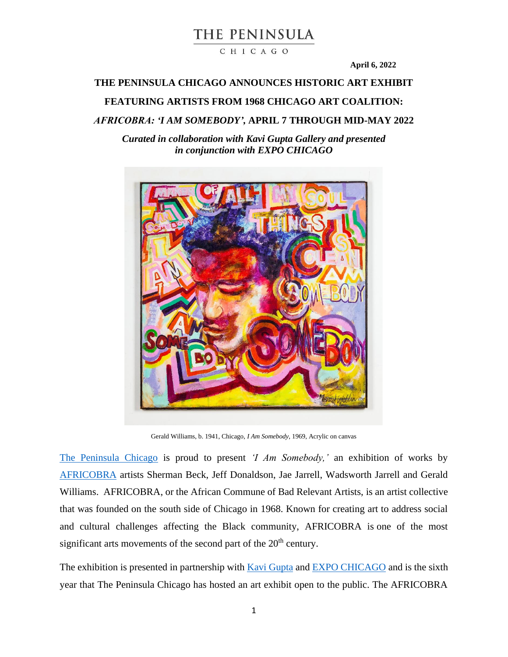CHICAGO

**April 6, 2022**

## **THE PENINSULA CHICAGO ANNOUNCES HISTORIC ART EXHIBIT**

## **FEATURING ARTISTS FROM 1968 CHICAGO ART COALITION:**

*AFRICOBRA: 'I AM SOMEBODY',* **APRIL 7 THROUGH MID-MAY 2022**

*Curated in collaboration with Kavi Gupta Gallery and presented in conjunction with EXPO CHICAGO*



Gerald Williams, b. 1941, Chicago, *I Am Somebody*, 1969, Acrylic on canvas

[The Peninsula Chicago](https://www.peninsula.com/en/chicago/our-city/moments/expo-and-africobra-2022) is proud to present *'I Am Somebody,'* an exhibition of works by [AFRICOBRA](http://africobra.com/Introduction.html) artists Sherman Beck, Jeff Donaldson, Jae Jarrell, Wadsworth Jarrell and Gerald Williams. AFRICOBRA, or the African Commune of Bad Relevant Artists, is an artist collective that was founded on the south side of Chicago in 1968. Known for creating art to address social and cultural challenges affecting the Black community, AFRICOBRA is one of the most significant arts movements of the second part of the  $20<sup>th</sup>$  century.

The exhibition is presented in partnership with [Kavi Gupta](https://kavigupta.com/) and [EXPO CHICAGO](https://www.expochicago.com/) and is the sixth year that The Peninsula Chicago has hosted an art exhibit open to the public. The AFRICOBRA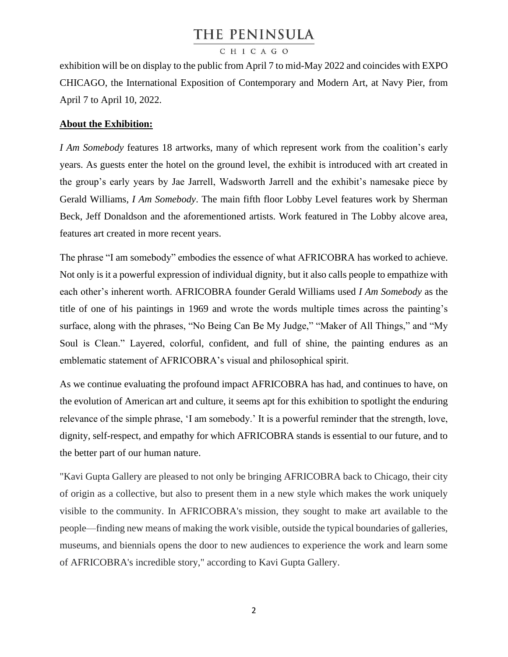## CHICAGO

exhibition will be on display to the public from April 7 to mid-May 2022 and coincides with EXPO CHICAGO, the International Exposition of Contemporary and Modern Art, at Navy Pier, from April 7 to April 10, 2022.

## **About the Exhibition:**

*I Am Somebody* features 18 artworks, many of which represent work from the coalition's early years. As guests enter the hotel on the ground level, the exhibit is introduced with art created in the group's early years by Jae Jarrell, Wadsworth Jarrell and the exhibit's namesake piece by Gerald Williams, *I Am Somebody*. The main fifth floor Lobby Level features work by Sherman Beck, Jeff Donaldson and the aforementioned artists. Work featured in The Lobby alcove area, features art created in more recent years.

The phrase "I am somebody" embodies the essence of what AFRICOBRA has worked to achieve. Not only is it a powerful expression of individual dignity, but it also calls people to empathize with each other's inherent worth. AFRICOBRA founder Gerald Williams used *I Am Somebody* as the title of one of his paintings in 1969 and wrote the words multiple times across the painting's surface, along with the phrases, "No Being Can Be My Judge," "Maker of All Things," and "My Soul is Clean." Layered, colorful, confident, and full of shine, the painting endures as an emblematic statement of AFRICOBRA's visual and philosophical spirit.

As we continue evaluating the profound impact AFRICOBRA has had, and continues to have, on the evolution of American art and culture, it seems apt for this exhibition to spotlight the enduring relevance of the simple phrase, 'I am somebody.' It is a powerful reminder that the strength, love, dignity, self-respect, and empathy for which AFRICOBRA stands is essential to our future, and to the better part of our human nature.

"Kavi Gupta Gallery are pleased to not only be bringing AFRICOBRA back to Chicago, their city of origin as a collective, but also to present them in a new style which makes the work uniquely visible to the community. In AFRICOBRA's mission, they sought to make art available to the people—finding new means of making the work visible, outside the typical boundaries of galleries, museums, and biennials opens the door to new audiences to experience the work and learn some of AFRICOBRA's incredible story," according to Kavi Gupta Gallery.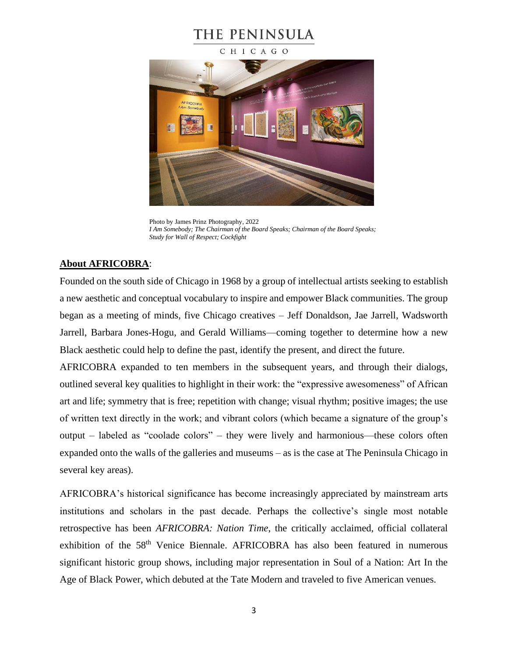### CHICAGO



Photo by James Prinz Photography, 2022 *I Am Somebody; The Chairman of the Board Speaks; Chairman of the Board Speaks; Study for Wall of Respect; Cockfight*

## **About AFRICOBRA**:

Founded on the south side of Chicago in 1968 by a group of intellectual artists seeking to establish a new aesthetic and conceptual vocabulary to inspire and empower Black communities. The group began as a meeting of minds, five Chicago creatives – Jeff Donaldson, Jae Jarrell, Wadsworth Jarrell, Barbara Jones-Hogu, and Gerald Williams—coming together to determine how a new Black aesthetic could help to define the past, identify the present, and direct the future.

AFRICOBRA expanded to ten members in the subsequent years, and through their dialogs, outlined several key qualities to highlight in their work: the "expressive awesomeness" of African art and life; symmetry that is free; repetition with change; visual rhythm; positive images; the use of written text directly in the work; and vibrant colors (which became a signature of the group's output – labeled as "coolade colors" – they were lively and harmonious—these colors often expanded onto the walls of the galleries and museums – as is the case at The Peninsula Chicago in several key areas).

AFRICOBRA's historical significance has become increasingly appreciated by mainstream arts institutions and scholars in the past decade. Perhaps the collective's single most notable retrospective has been *AFRICOBRA: Nation Time*, the critically acclaimed, official collateral exhibition of the 58<sup>th</sup> Venice Biennale. AFRICOBRA has also been featured in numerous significant historic group shows, including major representation in Soul of a Nation: Art In the Age of Black Power, which debuted at the Tate Modern and traveled to five American venues.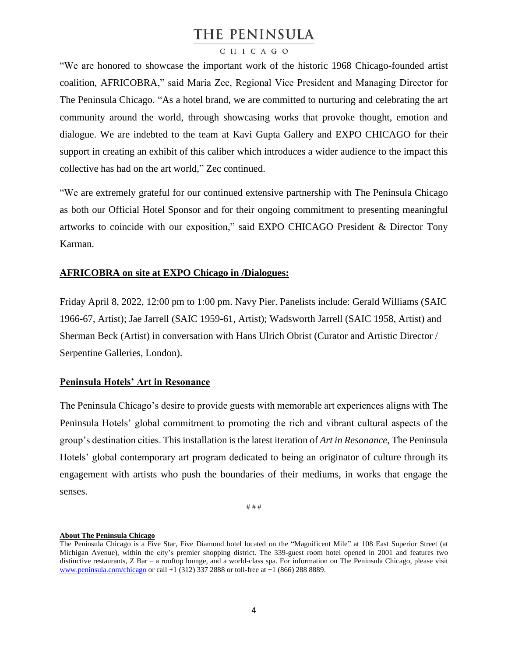## CHICAGO

"We are honored to showcase the important work of the historic 1968 Chicago-founded artist coalition, AFRICOBRA," said Maria Zec, Regional Vice President and Managing Director for The Peninsula Chicago. "As a hotel brand, we are committed to nurturing and celebrating the art community around the world, through showcasing works that provoke thought, emotion and dialogue. We are indebted to the team at Kavi Gupta Gallery and EXPO CHICAGO for their support in creating an exhibit of this caliber which introduces a wider audience to the impact this collective has had on the art world," Zec continued.

"We are extremely grateful for our continued extensive partnership with The Peninsula Chicago as both our Official Hotel Sponsor and for their ongoing commitment to presenting meaningful artworks to coincide with our exposition," said EXPO CHICAGO President & Director Tony Karman.

## **AFRICOBRA on site at EXPO Chicago in /Dialogues:**

Friday April 8, 2022, 12:00 pm to 1:00 pm. Navy Pier. Panelists include: Gerald Williams (SAIC 1966-67, Artist); Jae Jarrell (SAIC 1959-61, Artist); Wadsworth Jarrell (SAIC 1958, Artist) and Sherman Beck (Artist) in conversation with Hans Ulrich Obrist (Curator and Artistic Director / Serpentine Galleries, London).

### **Peninsula Hotels' Art in Resonance**

The Peninsula Chicago's desire to provide guests with memorable art experiences aligns with The Peninsula Hotels' global commitment to promoting the rich and vibrant cultural aspects of the group's destination cities. This installation is the latest iteration of *Art in Resonance,* The Peninsula Hotels' global contemporary art program dedicated to being an originator of culture through its engagement with artists who push the boundaries of their mediums, in works that engage the senses.

# # #

#### **About The Peninsula Chicago**

The Peninsula Chicago is a Five Star, Five Diamond hotel located on the "Magnificent Mile" at 108 East Superior Street (at Michigan Avenue), within the city's premier shopping district. The 339-guest room hotel opened in 2001 and features two distinctive restaurants, Z Bar – a rooftop lounge, and a world-class spa. For information on The Peninsula Chicago, please visit [www.peninsula.com/chicago](http://www.peninsula.com/chicago) or call +1 (312) 337 2888 or toll-free at +1 (866) 288 8889.